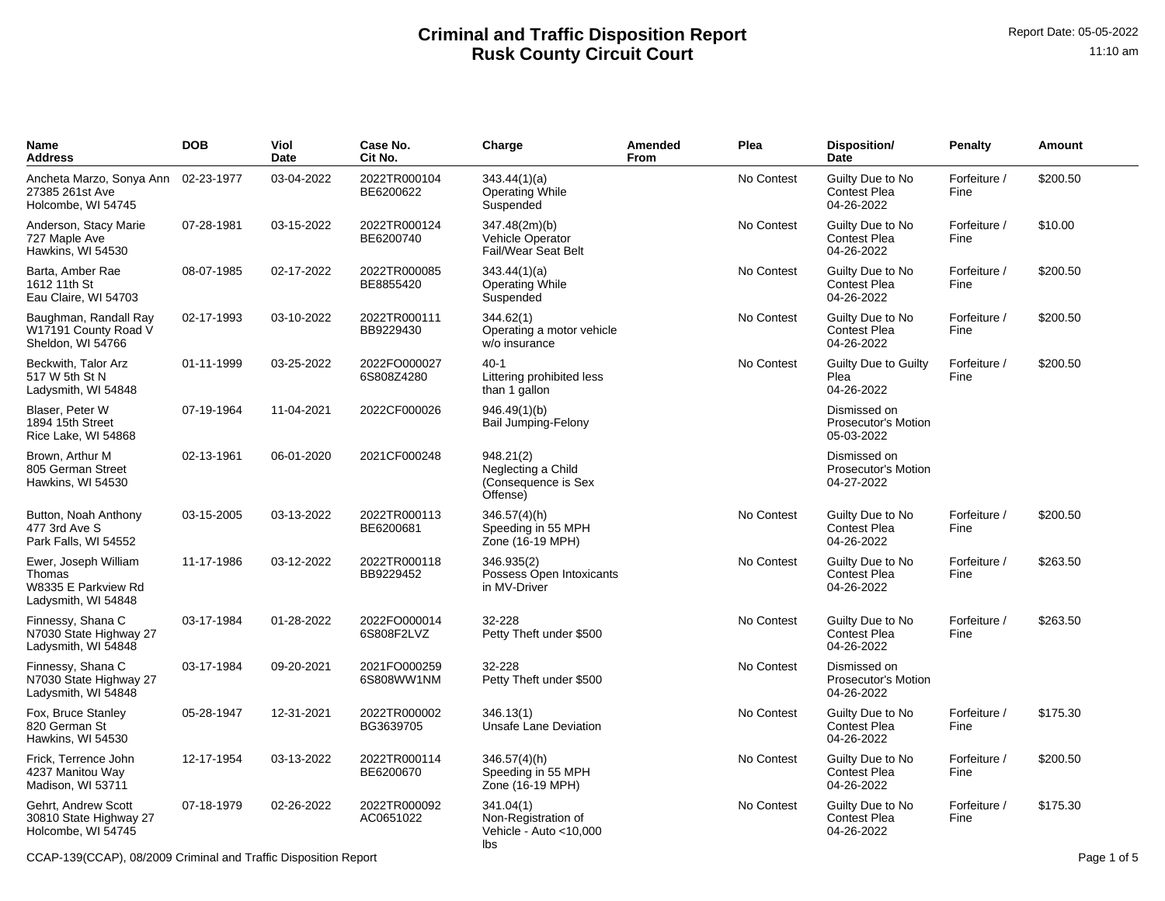| Name<br>Address                                                              | <b>DOB</b> | Viol<br>Date | Case No.<br>Cit No.        | Charge                                                             | Amended<br>From | Plea       | Disposition/<br>Date                                  | Penalty              | Amount   |
|------------------------------------------------------------------------------|------------|--------------|----------------------------|--------------------------------------------------------------------|-----------------|------------|-------------------------------------------------------|----------------------|----------|
| Ancheta Marzo, Sonya Ann<br>27385 261st Ave<br>Holcombe, WI 54745            | 02-23-1977 | 03-04-2022   | 2022TR000104<br>BE6200622  | 343.44(1)(a)<br><b>Operating While</b><br>Suspended                |                 | No Contest | Guilty Due to No<br><b>Contest Plea</b><br>04-26-2022 | Forfeiture /<br>Fine | \$200.50 |
| Anderson, Stacy Marie<br>727 Maple Ave<br>Hawkins, WI 54530                  | 07-28-1981 | 03-15-2022   | 2022TR000124<br>BE6200740  | 347.48(2m)(b)<br>Vehicle Operator<br>Fail/Wear Seat Belt           |                 | No Contest | Guilty Due to No<br><b>Contest Plea</b><br>04-26-2022 | Forfeiture /<br>Fine | \$10.00  |
| Barta, Amber Rae<br>1612 11th St<br>Eau Claire, WI 54703                     | 08-07-1985 | 02-17-2022   | 2022TR000085<br>BE8855420  | 343.44(1)(a)<br><b>Operating While</b><br>Suspended                |                 | No Contest | Guilty Due to No<br><b>Contest Plea</b><br>04-26-2022 | Forfeiture /<br>Fine | \$200.50 |
| Baughman, Randall Ray<br>W17191 County Road V<br>Sheldon, WI 54766           | 02-17-1993 | 03-10-2022   | 2022TR000111<br>BB9229430  | 344.62(1)<br>Operating a motor vehicle<br>w/o insurance            |                 | No Contest | Guilty Due to No<br><b>Contest Plea</b><br>04-26-2022 | Forfeiture /<br>Fine | \$200.50 |
| Beckwith, Talor Arz<br>517 W 5th St N<br>Ladysmith, WI 54848                 | 01-11-1999 | 03-25-2022   | 2022FO000027<br>6S808Z4280 | $40 - 1$<br>Littering prohibited less<br>than 1 gallon             |                 | No Contest | <b>Guilty Due to Guilty</b><br>Plea<br>04-26-2022     | Forfeiture /<br>Fine | \$200.50 |
| Blaser, Peter W<br>1894 15th Street<br>Rice Lake, WI 54868                   | 07-19-1964 | 11-04-2021   | 2022CF000026               | 946.49(1)(b)<br>Bail Jumping-Felony                                |                 |            | Dismissed on<br>Prosecutor's Motion<br>05-03-2022     |                      |          |
| Brown, Arthur M<br>805 German Street<br>Hawkins, WI 54530                    | 02-13-1961 | 06-01-2020   | 2021CF000248               | 948.21(2)<br>Neglecting a Child<br>(Consequence is Sex<br>Offense) |                 |            | Dismissed on<br>Prosecutor's Motion<br>04-27-2022     |                      |          |
| Button, Noah Anthony<br>477 3rd Ave S<br>Park Falls, WI 54552                | 03-15-2005 | 03-13-2022   | 2022TR000113<br>BE6200681  | 346.57(4)(h)<br>Speeding in 55 MPH<br>Zone (16-19 MPH)             |                 | No Contest | Guilty Due to No<br><b>Contest Plea</b><br>04-26-2022 | Forfeiture /<br>Fine | \$200.50 |
| Ewer, Joseph William<br>Thomas<br>W8335 E Parkview Rd<br>Ladysmith, WI 54848 | 11-17-1986 | 03-12-2022   | 2022TR000118<br>BB9229452  | 346.935(2)<br>Possess Open Intoxicants<br>in MV-Driver             |                 | No Contest | Guilty Due to No<br><b>Contest Plea</b><br>04-26-2022 | Forfeiture /<br>Fine | \$263.50 |
| Finnessy, Shana C<br>N7030 State Highway 27<br>Ladysmith, WI 54848           | 03-17-1984 | 01-28-2022   | 2022FO000014<br>6S808F2LVZ | 32-228<br>Petty Theft under \$500                                  |                 | No Contest | Guilty Due to No<br><b>Contest Plea</b><br>04-26-2022 | Forfeiture /<br>Fine | \$263.50 |
| Finnessy, Shana C<br>N7030 State Highway 27<br>Ladysmith, WI 54848           | 03-17-1984 | 09-20-2021   | 2021FO000259<br>6S808WW1NM | 32-228<br>Petty Theft under \$500                                  |                 | No Contest | Dismissed on<br>Prosecutor's Motion<br>04-26-2022     |                      |          |
| Fox, Bruce Stanley<br>820 German St<br>Hawkins, WI 54530                     | 05-28-1947 | 12-31-2021   | 2022TR000002<br>BG3639705  | 346.13(1)<br>Unsafe Lane Deviation                                 |                 | No Contest | Guilty Due to No<br><b>Contest Plea</b><br>04-26-2022 | Forfeiture /<br>Fine | \$175.30 |
| Frick, Terrence John<br>4237 Manitou Way<br>Madison, WI 53711                | 12-17-1954 | 03-13-2022   | 2022TR000114<br>BE6200670  | 346.57(4)(h)<br>Speeding in 55 MPH<br>Zone (16-19 MPH)             |                 | No Contest | Guilty Due to No<br><b>Contest Plea</b><br>04-26-2022 | Forfeiture /<br>Fine | \$200.50 |
| Gehrt, Andrew Scott<br>30810 State Highway 27<br>Holcombe, WI 54745          | 07-18-1979 | 02-26-2022   | 2022TR000092<br>AC0651022  | 341.04(1)<br>Non-Registration of<br>Vehicle - Auto < 10,000<br>lbs |                 | No Contest | Guilty Due to No<br><b>Contest Plea</b><br>04-26-2022 | Forfeiture /<br>Fine | \$175.30 |

CCAP-139(CCAP), 08/2009 Criminal and Traffic Disposition Report Page 1 of 5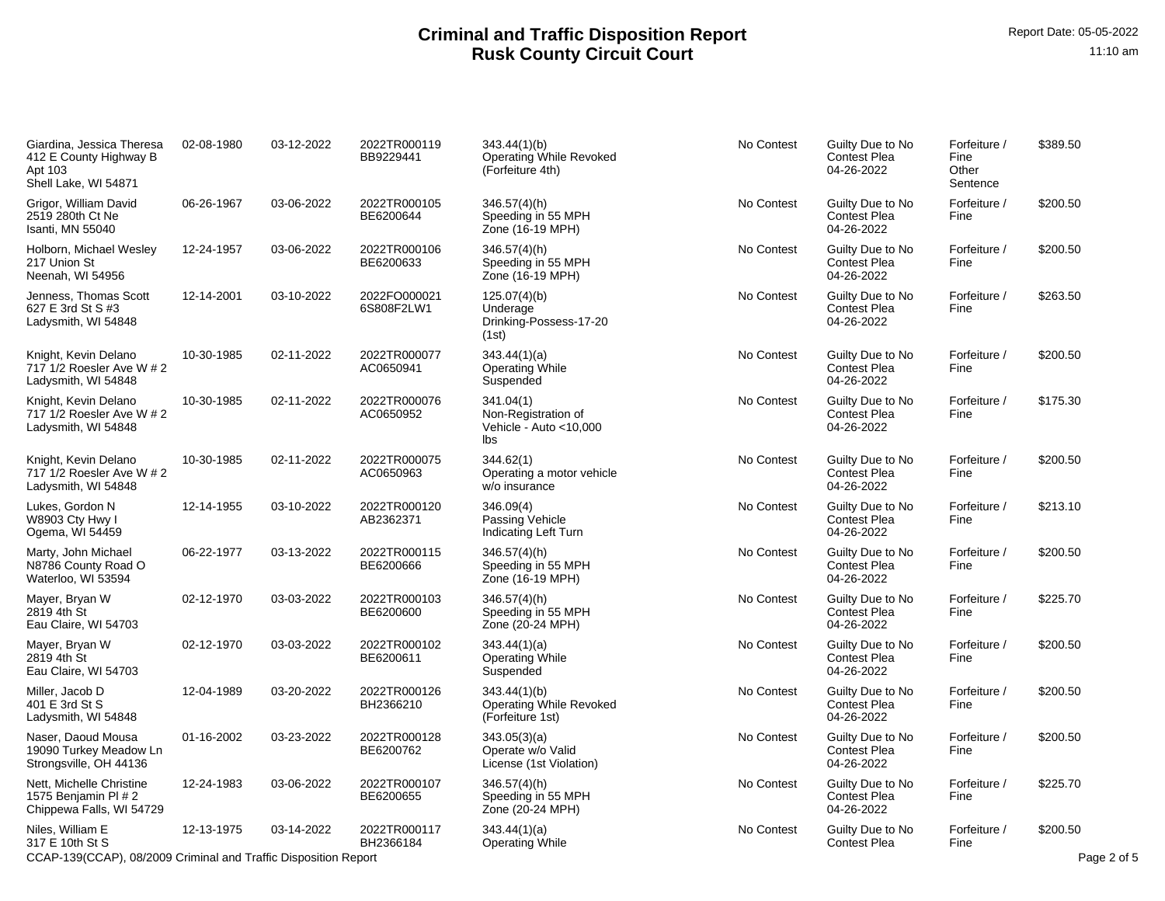| Giardina, Jessica Theresa<br>412 E County Highway B<br>Apt 103<br>Shell Lake, WI 54871 | 02-08-1980 | 03-12-2022 | 2022TR000119<br>BB9229441  | 343.44(1)(b)<br><b>Operating While Revoked</b><br>(Forfeiture 4th) | No Contest | Guilty Due to No<br><b>Contest Plea</b><br>04-26-2022 | Forfeiture /<br>Fine<br>Other<br>Sentence | \$389.50                |
|----------------------------------------------------------------------------------------|------------|------------|----------------------------|--------------------------------------------------------------------|------------|-------------------------------------------------------|-------------------------------------------|-------------------------|
| Grigor, William David<br>2519 280th Ct Ne<br>Isanti, MN 55040                          | 06-26-1967 | 03-06-2022 | 2022TR000105<br>BE6200644  | 346.57(4)(h)<br>Speeding in 55 MPH<br>Zone (16-19 MPH)             | No Contest | Guilty Due to No<br><b>Contest Plea</b><br>04-26-2022 | Forfeiture /<br>Fine                      | \$200.50                |
| Holborn, Michael Wesley<br>217 Union St<br>Neenah, WI 54956                            | 12-24-1957 | 03-06-2022 | 2022TR000106<br>BE6200633  | 346.57(4)(h)<br>Speeding in 55 MPH<br>Zone (16-19 MPH)             | No Contest | Guilty Due to No<br><b>Contest Plea</b><br>04-26-2022 | Forfeiture /<br>Fine                      | \$200.50                |
| Jenness, Thomas Scott<br>627 E 3rd St S #3<br>Ladysmith, WI 54848                      | 12-14-2001 | 03-10-2022 | 2022FO000021<br>6S808F2LW1 | 125.07(4)(b)<br>Underage<br>Drinking-Possess-17-20<br>(1st)        | No Contest | Guilty Due to No<br><b>Contest Plea</b><br>04-26-2022 | Forfeiture /<br>Fine                      | \$263.50                |
| Knight, Kevin Delano<br>717 1/2 Roesler Ave W # 2<br>Ladysmith, WI 54848               | 10-30-1985 | 02-11-2022 | 2022TR000077<br>AC0650941  | 343.44(1)(a)<br>Operating While<br>Suspended                       | No Contest | Guilty Due to No<br><b>Contest Plea</b><br>04-26-2022 | Forfeiture /<br>Fine                      | \$200.50                |
| Knight, Kevin Delano<br>717 1/2 Roesler Ave W # 2<br>Ladysmith, WI 54848               | 10-30-1985 | 02-11-2022 | 2022TR000076<br>AC0650952  | 341.04(1)<br>Non-Registration of<br>Vehicle - Auto <10,000<br>lbs  | No Contest | Guilty Due to No<br><b>Contest Plea</b><br>04-26-2022 | Forfeiture /<br>Fine                      | \$175.30                |
| Knight, Kevin Delano<br>717 1/2 Roesler Ave W # 2<br>Ladysmith, WI 54848               | 10-30-1985 | 02-11-2022 | 2022TR000075<br>AC0650963  | 344.62(1)<br>Operating a motor vehicle<br>w/o insurance            | No Contest | Guilty Due to No<br><b>Contest Plea</b><br>04-26-2022 | Forfeiture /<br>Fine                      | \$200.50                |
| Lukes, Gordon N<br>W8903 Cty Hwy I<br>Ogema, WI 54459                                  | 12-14-1955 | 03-10-2022 | 2022TR000120<br>AB2362371  | 346.09(4)<br>Passing Vehicle<br>Indicating Left Turn               | No Contest | Guilty Due to No<br><b>Contest Plea</b><br>04-26-2022 | Forfeiture /<br>Fine                      | \$213.10                |
| Marty, John Michael<br>N8786 County Road O<br>Waterloo, WI 53594                       | 06-22-1977 | 03-13-2022 | 2022TR000115<br>BE6200666  | 346.57(4)(h)<br>Speeding in 55 MPH<br>Zone (16-19 MPH)             | No Contest | Guilty Due to No<br><b>Contest Plea</b><br>04-26-2022 | Forfeiture /<br>Fine                      | \$200.50                |
| Mayer, Bryan W<br>2819 4th St<br>Eau Claire, WI 54703                                  | 02-12-1970 | 03-03-2022 | 2022TR000103<br>BE6200600  | 346.57(4)(h)<br>Speeding in 55 MPH<br>Zone (20-24 MPH)             | No Contest | Guilty Due to No<br><b>Contest Plea</b><br>04-26-2022 | Forfeiture /<br>Fine                      | \$225.70                |
| Mayer, Bryan W<br>2819 4th St<br>Eau Claire, WI 54703                                  | 02-12-1970 | 03-03-2022 | 2022TR000102<br>BE6200611  | 343.44(1)(a)<br><b>Operating While</b><br>Suspended                | No Contest | Guilty Due to No<br><b>Contest Plea</b><br>04-26-2022 | Forfeiture /<br>Fine                      | \$200.50                |
| Miller, Jacob D<br>401 E 3rd St S<br>Ladysmith, WI 54848                               | 12-04-1989 | 03-20-2022 | 2022TR000126<br>BH2366210  | 343.44(1)(b)<br><b>Operating While Revoked</b><br>(Forfeiture 1st) | No Contest | Guilty Due to No<br><b>Contest Plea</b><br>04-26-2022 | Forfeiture /<br>Fine                      | \$200.50                |
| Naser, Daoud Mousa<br>19090 Turkey Meadow Ln<br>Strongsville, OH 44136                 | 01-16-2002 | 03-23-2022 | 2022TR000128<br>BE6200762  | 343.05(3)(a)<br>Operate w/o Valid<br>License (1st Violation)       | No Contest | Guilty Due to No<br><b>Contest Plea</b><br>04-26-2022 | Forfeiture /<br>Fine                      | \$200.50                |
| Nett, Michelle Christine<br>1575 Benjamin PI # 2<br>Chippewa Falls, WI 54729           | 12-24-1983 | 03-06-2022 | 2022TR000107<br>BE6200655  | 346.57(4)(h)<br>Speeding in 55 MPH<br>Zone (20-24 MPH)             | No Contest | Guilty Due to No<br><b>Contest Plea</b><br>04-26-2022 | Forfeiture /<br>Fine                      | \$225.70                |
| Niles. William E<br>317 E 10th St S                                                    | 12-13-1975 | 03-14-2022 | 2022TR000117<br>BH2366184  | 343.44(1)(a)<br><b>Operating While</b>                             | No Contest | Guilty Due to No<br><b>Contest Plea</b>               | Forfeiture /<br>Fine                      | \$200.50<br>Page 2 of 5 |
| CCAP-139(CCAP), 08/2009 Criminal and Traffic Disposition Report                        |            |            |                            |                                                                    |            |                                                       |                                           |                         |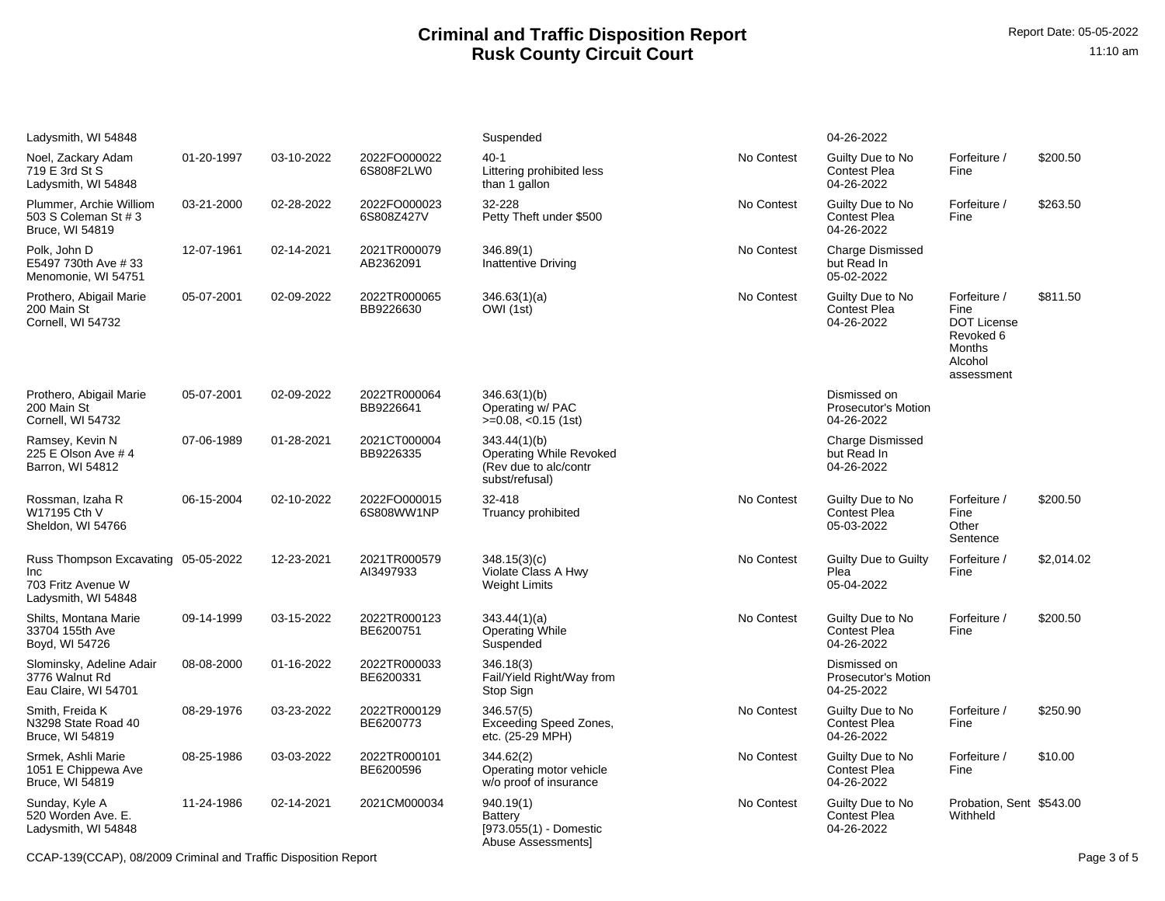| Ladysmith, WI 54848                                                                      |            |            |                            | Suspended                                                                                 |            | 04-26-2022                                            |                                                                                            |            |
|------------------------------------------------------------------------------------------|------------|------------|----------------------------|-------------------------------------------------------------------------------------------|------------|-------------------------------------------------------|--------------------------------------------------------------------------------------------|------------|
| Noel, Zackary Adam<br>719 E 3rd St S<br>Ladysmith, WI 54848                              | 01-20-1997 | 03-10-2022 | 2022FO000022<br>6S808F2LW0 | $40-1$<br>Littering prohibited less<br>than 1 gallon                                      | No Contest | Guilty Due to No<br><b>Contest Plea</b><br>04-26-2022 | Forfeiture /<br>Fine                                                                       | \$200.50   |
| Plummer, Archie Williom<br>503 S Coleman St # 3<br>Bruce, WI 54819                       | 03-21-2000 | 02-28-2022 | 2022FO000023<br>6S808Z427V | 32-228<br>Petty Theft under \$500                                                         | No Contest | Guilty Due to No<br>Contest Plea<br>04-26-2022        | Forfeiture /<br>Fine                                                                       | \$263.50   |
| Polk, John D<br>E5497 730th Ave #33<br>Menomonie, WI 54751                               | 12-07-1961 | 02-14-2021 | 2021TR000079<br>AB2362091  | 346.89(1)<br>Inattentive Driving                                                          | No Contest | <b>Charge Dismissed</b><br>but Read In<br>05-02-2022  |                                                                                            |            |
| Prothero, Abigail Marie<br>200 Main St<br>Cornell, WI 54732                              | 05-07-2001 | 02-09-2022 | 2022TR000065<br>BB9226630  | 346.63(1)(a)<br>OWI (1st)                                                                 | No Contest | Guilty Due to No<br><b>Contest Plea</b><br>04-26-2022 | Forfeiture /<br>Fine<br><b>DOT License</b><br>Revoked 6<br>Months<br>Alcohol<br>assessment | \$811.50   |
| Prothero, Abigail Marie<br>200 Main St<br>Cornell, WI 54732                              | 05-07-2001 | 02-09-2022 | 2022TR000064<br>BB9226641  | 346.63(1)(b)<br>Operating w/ PAC<br>$>=0.08, <0.15$ (1st)                                 |            | Dismissed on<br>Prosecutor's Motion<br>04-26-2022     |                                                                                            |            |
| Ramsey, Kevin N<br>225 E Olson Ave # 4<br>Barron, WI 54812                               | 07-06-1989 | 01-28-2021 | 2021CT000004<br>BB9226335  | 343.44(1)(b)<br><b>Operating While Revoked</b><br>(Rev due to alc/contr<br>subst/refusal) |            | <b>Charge Dismissed</b><br>but Read In<br>04-26-2022  |                                                                                            |            |
| Rossman, Izaha R<br>W17195 Cth V<br>Sheldon, WI 54766                                    | 06-15-2004 | 02-10-2022 | 2022FO000015<br>6S808WW1NP | 32-418<br>Truancy prohibited                                                              | No Contest | Guilty Due to No<br><b>Contest Plea</b><br>05-03-2022 | Forfeiture /<br>Fine<br>Other<br>Sentence                                                  | \$200.50   |
| Russ Thompson Excavating 05-05-2022<br>Inc.<br>703 Fritz Avenue W<br>Ladysmith, WI 54848 |            | 12-23-2021 | 2021TR000579<br>AI3497933  | 348.15(3)(c)<br>Violate Class A Hwy<br><b>Weight Limits</b>                               | No Contest | Guilty Due to Guilty<br>Plea<br>05-04-2022            | Forfeiture /<br>Fine                                                                       | \$2,014.02 |
| Shilts, Montana Marie<br>33704 155th Ave<br>Boyd, WI 54726                               | 09-14-1999 | 03-15-2022 | 2022TR000123<br>BE6200751  | 343.44(1)(a)<br><b>Operating While</b><br>Suspended                                       | No Contest | Guilty Due to No<br><b>Contest Plea</b><br>04-26-2022 | Forfeiture /<br>Fine                                                                       | \$200.50   |
| Slominsky, Adeline Adair<br>3776 Walnut Rd<br>Eau Claire, WI 54701                       | 08-08-2000 | 01-16-2022 | 2022TR000033<br>BE6200331  | 346.18(3)<br>Fail/Yield Right/Way from<br>Stop Sign                                       |            | Dismissed on<br>Prosecutor's Motion<br>04-25-2022     |                                                                                            |            |
| Smith, Freida K<br>N3298 State Road 40<br>Bruce, WI 54819                                | 08-29-1976 | 03-23-2022 | 2022TR000129<br>BE6200773  | 346.57(5)<br>Exceeding Speed Zones,<br>etc. (25-29 MPH)                                   | No Contest | Guilty Due to No<br>Contest Plea<br>04-26-2022        | Forfeiture /<br>Fine                                                                       | \$250.90   |
| Srmek, Ashli Marie<br>1051 E Chippewa Ave<br>Bruce, WI 54819                             | 08-25-1986 | 03-03-2022 | 2022TR000101<br>BE6200596  | 344.62(2)<br>Operating motor vehicle<br>w/o proof of insurance                            | No Contest | Guilty Due to No<br><b>Contest Plea</b><br>04-26-2022 | Forfeiture /<br>Fine                                                                       | \$10.00    |
| Sunday, Kyle A<br>520 Worden Ave. E.<br>Ladysmith, WI 54848                              | 11-24-1986 | 02-14-2021 | 2021CM000034               | 940.19(1)<br><b>Battery</b><br>[973.055(1) - Domestic<br>Abuse Assessments]               | No Contest | Guilty Due to No<br><b>Contest Plea</b><br>04-26-2022 | Probation, Sent \$543.00<br>Withheld                                                       |            |

CCAP-139(CCAP), 08/2009 Criminal and Traffic Disposition Report Page 3 of 5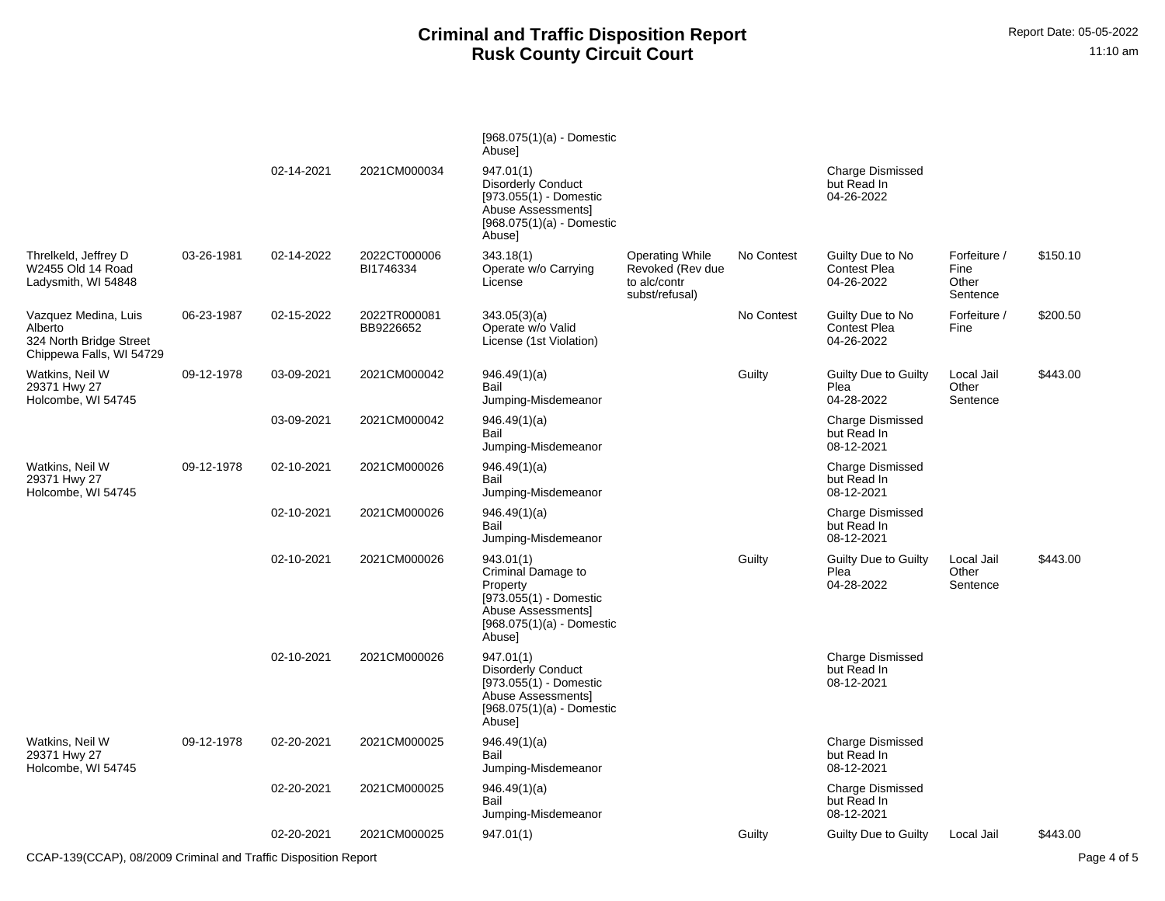|                                                                                        |            |            |                           | $[968.075(1)(a) -$ Domestic<br>Abuse]                                                                                                 |                                                                              |            |                                                       |                                           |          |
|----------------------------------------------------------------------------------------|------------|------------|---------------------------|---------------------------------------------------------------------------------------------------------------------------------------|------------------------------------------------------------------------------|------------|-------------------------------------------------------|-------------------------------------------|----------|
|                                                                                        |            | 02-14-2021 | 2021CM000034              | 947.01(1)<br><b>Disorderly Conduct</b><br>$[973.055(1) -$ Domestic<br>Abuse Assessments]<br>$[968.075(1)(a) -$ Domestic<br>Abuse]     |                                                                              |            | <b>Charge Dismissed</b><br>but Read In<br>04-26-2022  |                                           |          |
| Threlkeld, Jeffrey D<br>W2455 Old 14 Road<br>Ladysmith, WI 54848                       | 03-26-1981 | 02-14-2022 | 2022CT000006<br>BI1746334 | 343.18(1)<br>Operate w/o Carrying<br>License                                                                                          | <b>Operating While</b><br>Revoked (Rev due<br>to alc/contr<br>subst/refusal) | No Contest | Guilty Due to No<br>Contest Plea<br>04-26-2022        | Forfeiture /<br>Fine<br>Other<br>Sentence | \$150.10 |
| Vazquez Medina, Luis<br>Alberto<br>324 North Bridge Street<br>Chippewa Falls, WI 54729 | 06-23-1987 | 02-15-2022 | 2022TR000081<br>BB9226652 | 343.05(3)(a)<br>Operate w/o Valid<br>License (1st Violation)                                                                          |                                                                              | No Contest | Guilty Due to No<br><b>Contest Plea</b><br>04-26-2022 | Forfeiture /<br>Fine                      | \$200.50 |
| Watkins, Neil W<br>29371 Hwy 27<br>Holcombe, WI 54745                                  | 09-12-1978 | 03-09-2021 | 2021CM000042              | 946.49(1)(a)<br>Bail<br>Jumping-Misdemeanor                                                                                           |                                                                              | Guilty     | <b>Guilty Due to Guilty</b><br>Plea<br>04-28-2022     | Local Jail<br>Other<br>Sentence           | \$443.00 |
|                                                                                        |            | 03-09-2021 | 2021CM000042              | 946.49(1)(a)<br>Bail<br>Jumping-Misdemeanor                                                                                           |                                                                              |            | Charge Dismissed<br>but Read In<br>08-12-2021         |                                           |          |
| Watkins, Neil W<br>29371 Hwy 27<br>Holcombe, WI 54745                                  | 09-12-1978 | 02-10-2021 | 2021CM000026              | 946.49(1)(a)<br>Bail<br>Jumping-Misdemeanor                                                                                           |                                                                              |            | <b>Charge Dismissed</b><br>but Read In<br>08-12-2021  |                                           |          |
|                                                                                        |            | 02-10-2021 | 2021CM000026              | 946.49(1)(a)<br>Bail<br>Jumping-Misdemeanor                                                                                           |                                                                              |            | <b>Charge Dismissed</b><br>but Read In<br>08-12-2021  |                                           |          |
|                                                                                        |            | 02-10-2021 | 2021CM000026              | 943.01(1)<br>Criminal Damage to<br>Property<br>$[973.055(1) -$ Domestic<br>Abuse Assessments<br>$[968.075(1)(a) -$ Domestic<br>Abuse] |                                                                              | Guilty     | <b>Guilty Due to Guilty</b><br>Plea<br>04-28-2022     | Local Jail<br>Other<br>Sentence           | \$443.00 |
|                                                                                        |            | 02-10-2021 | 2021CM000026              | 947.01(1)<br><b>Disorderly Conduct</b><br>$[973.055(1) -$ Domestic<br>Abuse Assessmentsl<br>[968.075(1)(a) - Domestic<br>Abuse]       |                                                                              |            | <b>Charge Dismissed</b><br>but Read In<br>08-12-2021  |                                           |          |
| Watkins, Neil W<br>29371 Hwy 27<br>Holcombe, WI 54745                                  | 09-12-1978 | 02-20-2021 | 2021CM000025              | 946.49(1)(a)<br>Bail<br>Jumping-Misdemeanor                                                                                           |                                                                              |            | <b>Charge Dismissed</b><br>but Read In<br>08-12-2021  |                                           |          |
|                                                                                        |            | 02-20-2021 | 2021CM000025              | 946.49(1)(a)<br>Bail<br>Jumping-Misdemeanor                                                                                           |                                                                              |            | <b>Charge Dismissed</b><br>but Read In<br>08-12-2021  |                                           |          |
|                                                                                        |            | 02-20-2021 | 2021CM000025              | 947.01(1)                                                                                                                             |                                                                              | Guilty     | <b>Guilty Due to Guilty</b>                           | Local Jail                                | \$443.00 |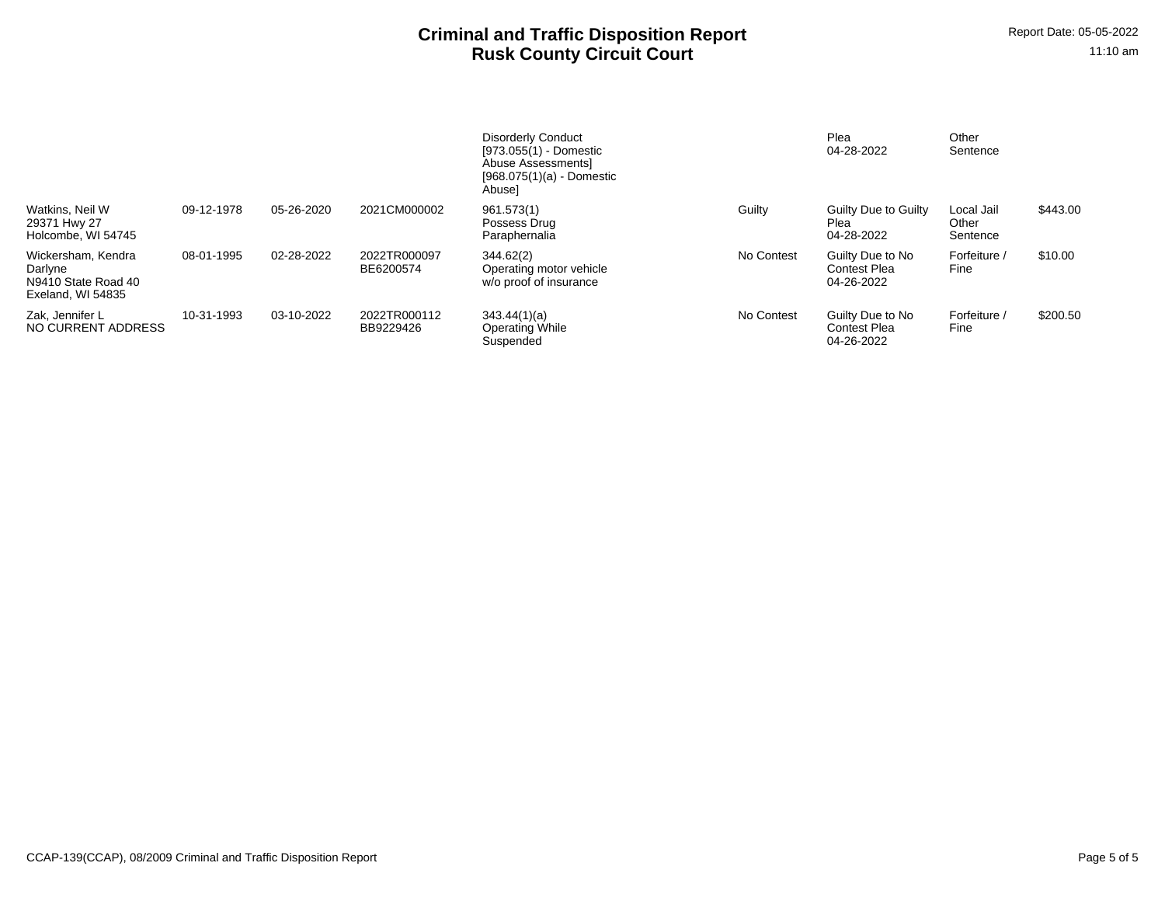|                                                                           |            |            |                           | <b>Disorderly Conduct</b><br>[973.055(1) - Domestic<br>Abuse Assessments<br>$[968.075(1)(a) -$ Domestic<br>Abuse] |            | Plea<br>04-28-2022                                    | Other<br>Sentence               |          |
|---------------------------------------------------------------------------|------------|------------|---------------------------|-------------------------------------------------------------------------------------------------------------------|------------|-------------------------------------------------------|---------------------------------|----------|
| Watkins, Neil W<br>29371 Hwy 27<br>Holcombe, WI 54745                     | 09-12-1978 | 05-26-2020 | 2021CM000002              | 961.573(1)<br>Possess Drug<br>Paraphernalia                                                                       | Guilty     | Guilty Due to Guilty<br>Plea<br>04-28-2022            | Local Jail<br>Other<br>Sentence | \$443.00 |
| Wickersham, Kendra<br>Darlyne<br>N9410 State Road 40<br>Exeland. WI 54835 | 08-01-1995 | 02-28-2022 | 2022TR000097<br>BE6200574 | 344.62(2)<br>Operating motor vehicle<br>w/o proof of insurance                                                    | No Contest | Guilty Due to No<br><b>Contest Plea</b><br>04-26-2022 | Forfeiture<br>Fine              | \$10.00  |
| Zak. Jennifer L<br>NO CURRENT ADDRESS                                     | 10-31-1993 | 03-10-2022 | 2022TR000112<br>BB9229426 | 343.44(1)(a)<br>Operating While<br>Suspended                                                                      | No Contest | Guilty Due to No<br><b>Contest Plea</b><br>04-26-2022 | Forfeiture /<br>Fine            | \$200.50 |